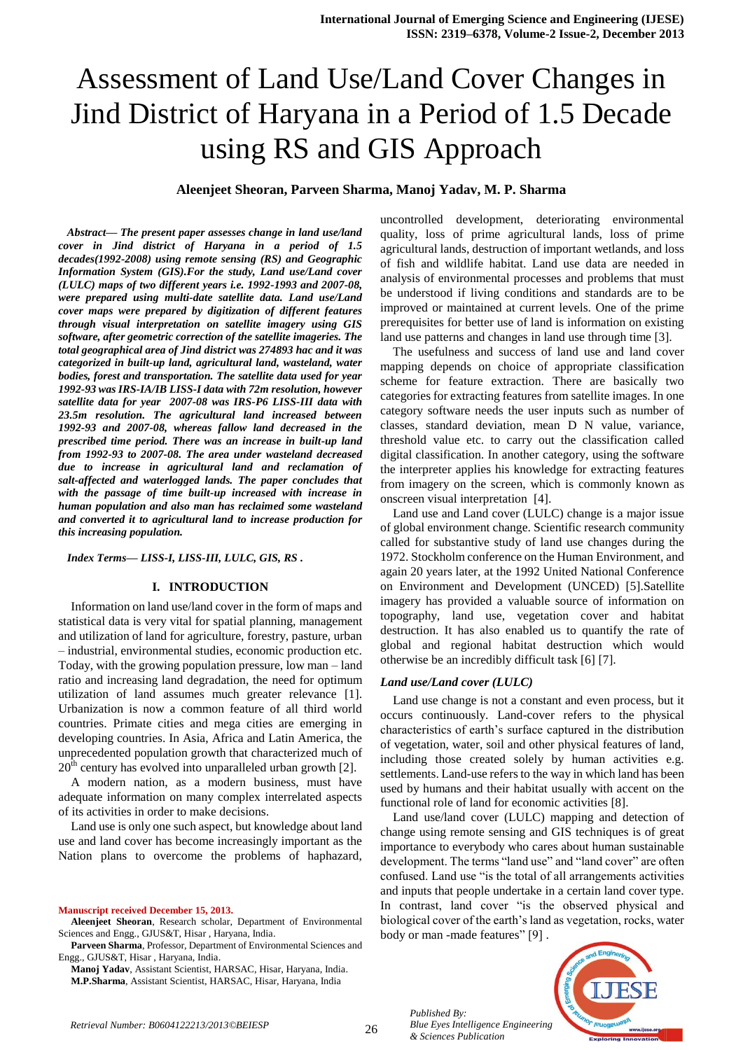# Assessment of Land Use/Land Cover Changes in Jind District of Haryana in a Period of 1.5 Decade using RS and GIS Approach

**Aleenjeet Sheoran, Parveen Sharma, Manoj Yadav, M. P. Sharma**

*Abstract— The present paper assesses change in land use/land cover in Jind district of Haryana in a period of 1.5 decades(1992-2008) using remote sensing (RS) and Geographic Information System (GIS).For the study, Land use/Land cover (LULC) maps of two different years i.e. 1992-1993 and 2007-08, were prepared using multi-date satellite data. Land use/Land cover maps were prepared by digitization of different features through visual interpretation on satellite imagery using GIS software, after geometric correction of the satellite imageries. The total geographical area of Jind district was 274893 hac and it was categorized in built-up land, agricultural land, wasteland, water bodies, forest and transportation. The satellite data used for year 1992-93 was IRS-IA/IB LISS-I data with 72m resolution, however satellite data for year 2007-08 was IRS-P6 LISS-III data with 23.5m resolution. The agricultural land increased between 1992-93 and 2007-08, whereas fallow land decreased in the prescribed time period. There was an increase in built-up land from 1992-93 to 2007-08. The area under wasteland decreased due to increase in agricultural land and reclamation of salt-affected and waterlogged lands. The paper concludes that with the passage of time built-up increased with increase in human population and also man has reclaimed some wasteland and converted it to agricultural land to increase production for this increasing population.*

*Index Terms— LISS-I, LISS-III, LULC, GIS, RS .*

#### **I. INTRODUCTION**

Information on land use/land cover in the form of maps and statistical data is very vital for spatial planning, management and utilization of land for agriculture, forestry, pasture, urban – industrial, environmental studies, economic production etc. Today, with the growing population pressure, low man – land ratio and increasing land degradation, the need for optimum utilization of land assumes much greater relevance [1]. Urbanization is now a common feature of all third world countries. Primate cities and mega cities are emerging in developing countries. In Asia, Africa and Latin America, the unprecedented population growth that characterized much of  $20<sup>th</sup>$  century has evolved into unparalleled urban growth [2].

A modern nation, as a modern business, must have adequate information on many complex interrelated aspects of its activities in order to make decisions.

Land use is only one such aspect, but knowledge about land use and land cover has become increasingly important as the Nation plans to overcome the problems of haphazard,

**Manuscript received December 15, 2013.**

**Aleenjeet Sheoran**, Research scholar, Department of Environmental Sciences and Engg., GJUS&T, Hisar , Haryana, India.

**Parveen Sharma**, Professor, Department of Environmental Sciences and Engg., GJUS&T, Hisar , Haryana, India.

**Manoj Yadav**, Assistant Scientist, HARSAC, Hisar, Haryana, India. **M.P.Sharma**, Assistant Scientist, HARSAC, Hisar, Haryana, India

uncontrolled development, deteriorating environmental quality, loss of prime agricultural lands, loss of prime agricultural lands, destruction of important wetlands, and loss of fish and wildlife habitat. Land use data are needed in analysis of environmental processes and problems that must be understood if living conditions and standards are to be improved or maintained at current levels. One of the prime prerequisites for better use of land is information on existing land use patterns and changes in land use through time [3].

The usefulness and success of land use and land cover mapping depends on choice of appropriate classification scheme for feature extraction. There are basically two categories for extracting features from satellite images. In one category software needs the user inputs such as number of classes, standard deviation, mean D N value, variance, threshold value etc. to carry out the classification called digital classification. In another category, using the software the interpreter applies his knowledge for extracting features from imagery on the screen, which is commonly known as onscreen visual interpretation [4].

Land use and Land cover (LULC) change is a major issue of global environment change. Scientific research community called for substantive study of land use changes during the 1972. Stockholm conference on the Human Environment, and again 20 years later, at the 1992 United National Conference on Environment and Development (UNCED) [5].Satellite imagery has provided a valuable source of information on topography, land use, vegetation cover and habitat destruction. It has also enabled us to quantify the rate of global and regional habitat destruction which would otherwise be an incredibly difficult task [6] [7].

#### *Land use/Land cover (LULC)*

Land use change is not a constant and even process, but it occurs continuously. Land-cover refers to the physical characteristics of earth's surface captured in the distribution of vegetation, water, soil and other physical features of land, including those created solely by human activities e.g. settlements. Land-use refers to the way in which land has been used by humans and their habitat usually with accent on the functional role of land for economic activities [8].

Land use/land cover (LULC) mapping and detection of change using remote sensing and GIS techniques is of great importance to everybody who cares about human sustainable development. The terms "land use" and "land cover" are often confused. Land use "is the total of all arrangements activities and inputs that people undertake in a certain land cover type. In contrast, land cover "is the observed physical and biological cover of the earth's land as vegetation, rocks, water body or man -made features" [9] .



26 *Retrieval Number: B0604122213/2013©BEIESP*

*Published By: Blue Eyes Intelligence Engineering & Sciences Publication*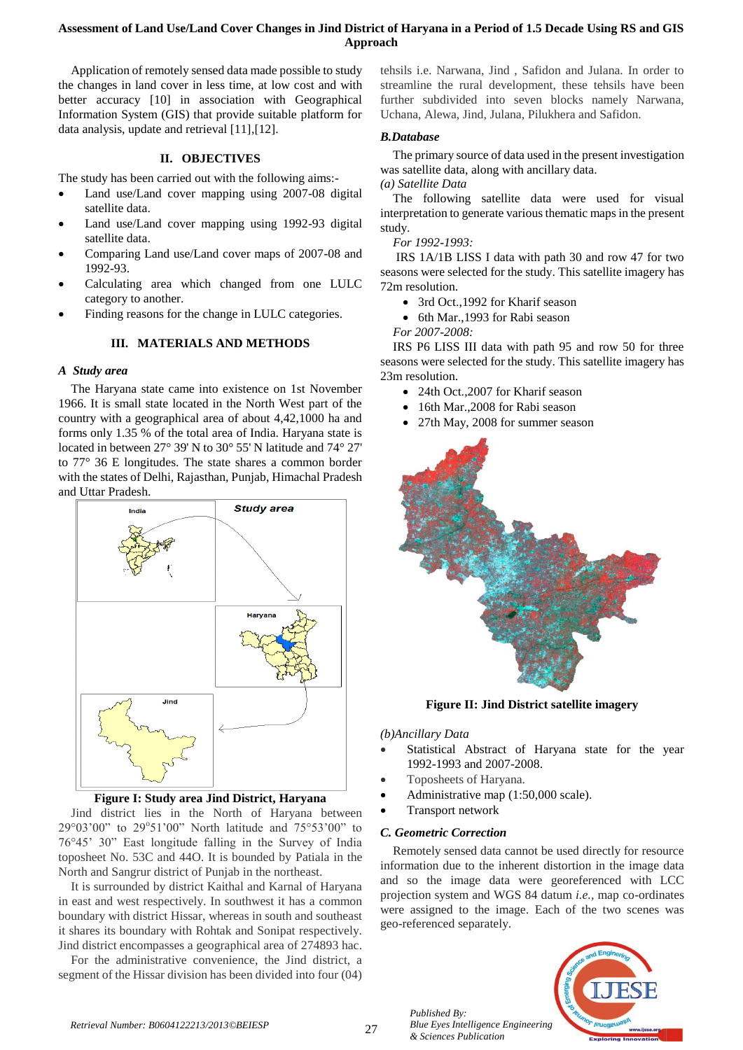## **Assessment of Land Use/Land Cover Changes in Jind District of Haryana in a Period of 1.5 Decade Using RS and GIS Approach**

Application of remotely sensed data made possible to study the changes in land cover in less time, at low cost and with better accuracy [10] in association with Geographical Information System (GIS) that provide suitable platform for data analysis, update and retrieval [11],[12].

### **II. OBJECTIVES**

The study has been carried out with the following aims:-

- Land use/Land cover mapping using 2007-08 digital satellite data.
- Land use/Land cover mapping using 1992-93 digital satellite data.
- Comparing Land use/Land cover maps of 2007-08 and 1992-93.
- Calculating area which changed from one LULC category to another.
- Finding reasons for the change in LULC categories.

### **III. MATERIALS AND METHODS**

## *A Study area*

The Haryana state came into existence on 1st November 1966. It is small state located in the North West part of the country with a geographical area of about 4,42,1000 ha and forms only 1.35 % of the total area of India. Haryana state is located in between 27° 39' N to 30° 55' N latitude and 74° 27' to 77° 36 E longitudes. The state shares a common border with the states of Delhi, Rajasthan, Punjab, Himachal Pradesh and Uttar Pradesh.



## **Figure I: Study area Jind District, Haryana**

Jind district lies in the North of Haryana between 29°03'00" to 29°51'00" North latitude and 75°53'00" to 76°45' 30" East longitude falling in the Survey of India toposheet No. 53C and 44O. It is bounded by Patiala in the North and Sangrur district of Punjab in the northeast.

It is surrounded by district Kaithal and Karnal of Haryana in east and west respectively. In southwest it has a common boundary with district Hissar, whereas in south and southeast it shares its boundary with Rohtak and Sonipat respectively. Jind district encompasses a geographical area of 274893 hac.

For the administrative convenience, the Jind district, a segment of the Hissar division has been divided into four (04)

tehsils i.e. Narwana, Jind , Safidon and Julana. In order to streamline the rural development, these tehsils have been further subdivided into seven blocks namely Narwana, Uchana, Alewa, Jind, Julana, Pilukhera and Safidon.

#### *B.Database*

The primary source of data used in the present investigation was satellite data, along with ancillary data.

*(a) Satellite Data*

The following satellite data were used for visual interpretation to generate various thematic maps in the present study.

#### *For 1992-1993:*

IRS 1A/1B LISS I data with path 30 and row 47 for two seasons were selected for the study. This satellite imagery has 72m resolution.

- 3rd Oct.,1992 for Kharif season
- 6th Mar.,1993 for Rabi season

*For 2007-2008:*

IRS P6 LISS III data with path 95 and row 50 for three seasons were selected for the study. This satellite imagery has 23m resolution.

- 24th Oct., 2007 for Kharif season
- 16th Mar., 2008 for Rabi season
- 27th May, 2008 for summer season



**Figure II: Jind District satellite imagery**

*(b)Ancillary Data*

- Statistical Abstract of Haryana state for the year 1992-1993 and 2007-2008.
- Toposheets of Haryana.
- Administrative map (1:50,000 scale).
- Transport network

## *C. Geometric Correction*

*Published By:*

*& Sciences Publication* 

Remotely sensed data cannot be used directly for resource information due to the inherent distortion in the image data and so the image data were georeferenced with LCC projection system and WGS 84 datum *i.e.,* map co-ordinates were assigned to the image. Each of the two scenes was geo-referenced separately.

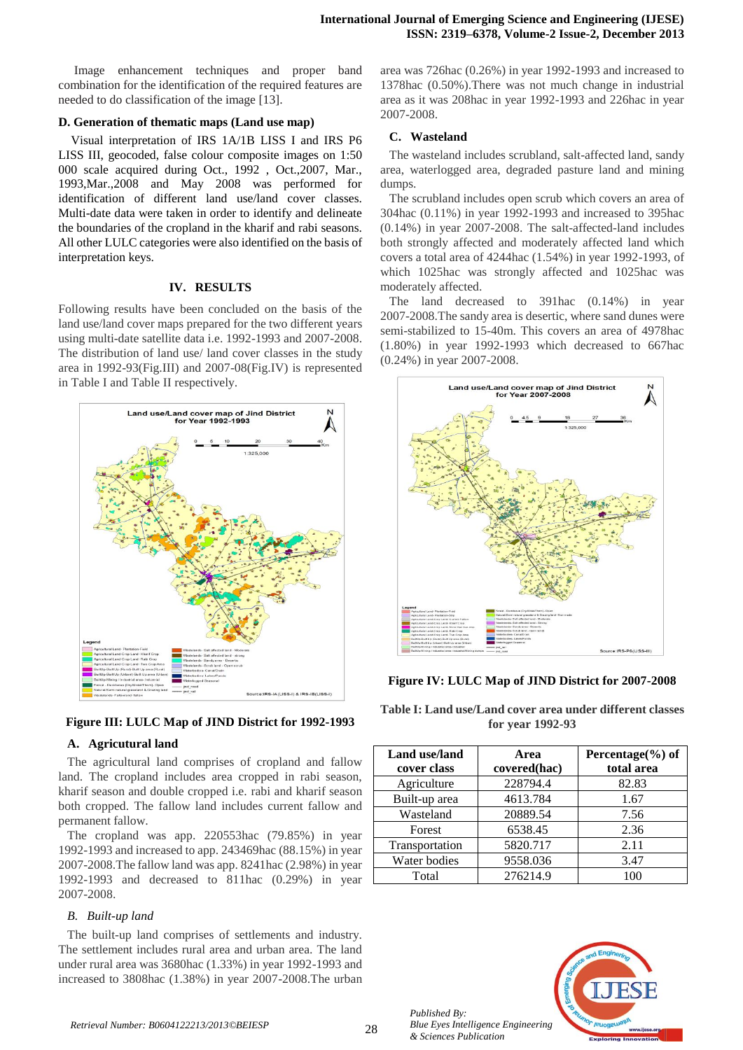Image enhancement techniques and proper band combination for the identification of the required features are needed to do classification of the image [13].

#### **D. Generation of thematic maps (Land use map)**

Visual interpretation of IRS 1A/1B LISS I and IRS P6 LISS III, geocoded, false colour composite images on 1:50 000 scale acquired during Oct., 1992 , Oct.,2007, Mar., 1993,Mar.,2008 and May 2008 was performed for identification of different land use/land cover classes. Multi-date data were taken in order to identify and delineate the boundaries of the cropland in the kharif and rabi seasons. All other LULC categories were also identified on the basis of interpretation keys.

#### **IV. RESULTS**

Following results have been concluded on the basis of the land use/land cover maps prepared for the two different years using multi-date satellite data i.e. 1992-1993 and 2007-2008. The distribution of land use/ land cover classes in the study area in 1992-93(Fig.III) and 2007-08(Fig.IV) is represented in Table I and Table II respectively.





## **A. Agricutural land**

The agricultural land comprises of cropland and fallow land. The cropland includes area cropped in rabi season, kharif season and double cropped i.e. rabi and kharif season both cropped. The fallow land includes current fallow and permanent fallow.

The cropland was app. 220553hac (79.85%) in year 1992-1993 and increased to app. 243469hac (88.15%) in year 2007-2008.The fallow land was app. 8241hac (2.98%) in year 1992-1993 and decreased to 811hac (0.29%) in year 2007-2008.

## *B. Built-up land*

The built-up land comprises of settlements and industry. The settlement includes rural area and urban area. The land under rural area was 3680hac (1.33%) in year 1992-1993 and increased to 3808hac (1.38%) in year 2007-2008.The urban

area was 726hac (0.26%) in year 1992-1993 and increased to 1378hac (0.50%).There was not much change in industrial area as it was 208hac in year 1992-1993 and 226hac in year 2007-2008.

## **C. Wasteland**

The wasteland includes scrubland, salt-affected land, sandy area, waterlogged area, degraded pasture land and mining dumps.

The scrubland includes open scrub which covers an area of 304hac (0.11%) in year 1992-1993 and increased to 395hac (0.14%) in year 2007-2008. The salt-affected-land includes both strongly affected and moderately affected land which covers a total area of 4244hac (1.54%) in year 1992-1993, of which 1025hac was strongly affected and 1025hac was moderately affected.

The land decreased to 391hac (0.14%) in year 2007-2008.The sandy area is desertic, where sand dunes were semi-stabilized to 15-40m. This covers an area of 4978hac (1.80%) in year 1992-1993 which decreased to 667hac (0.24%) in year 2007-2008.



**Figure IV: LULC Map of JIND District for 2007-2008**

**Table I: Land use/Land cover area under different classes for year 1992-93**

| Land use/land<br>cover class | Area<br>covered(hac) | Percentage $(\% )$ of<br>total area |  |  |
|------------------------------|----------------------|-------------------------------------|--|--|
| Agriculture                  | 228794.4             | 82.83                               |  |  |
| Built-up area                | 4613.784             | 1.67                                |  |  |
| Wasteland                    | 20889.54             | 7.56                                |  |  |
| Forest                       | 6538.45              | 2.36                                |  |  |
| Transportation               | 5820.717             | 2.11                                |  |  |
| Water bodies                 | 9558.036             | 3.47                                |  |  |
| Total                        | 276214.9             |                                     |  |  |

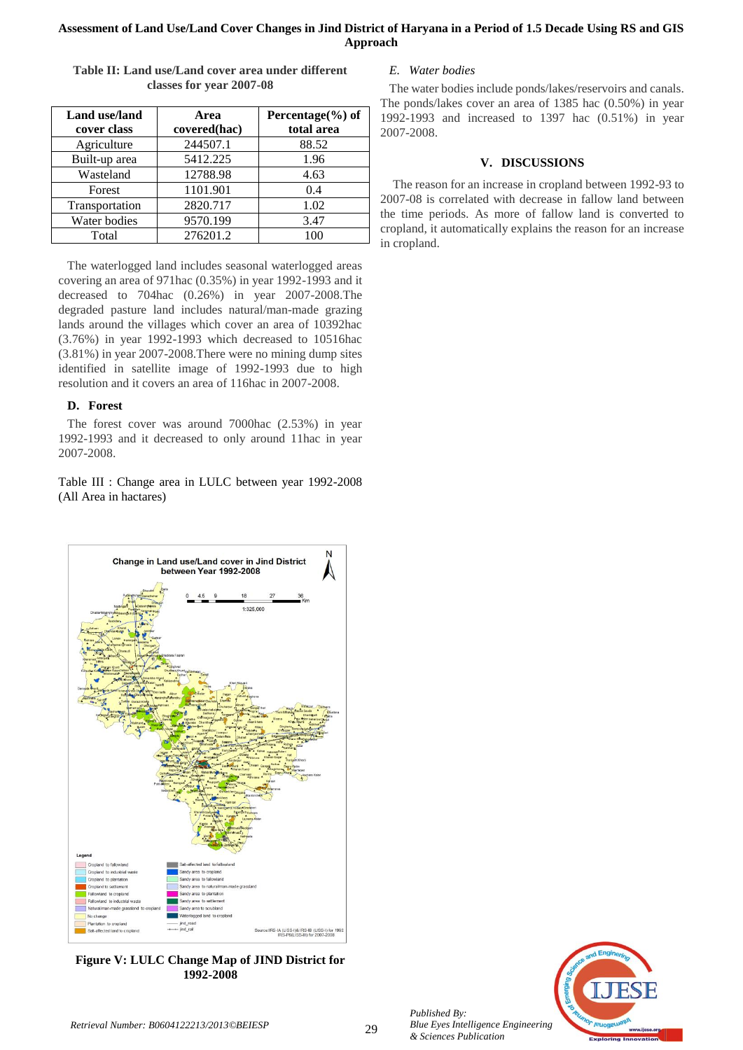## **Assessment of Land Use/Land Cover Changes in Jind District of Haryana in a Period of 1.5 Decade Using RS and GIS Approach**

| Land use/land<br>cover class | Area<br>covered(hac) | Percentage $(\% )$ of<br>total area |  |  |
|------------------------------|----------------------|-------------------------------------|--|--|
| Agriculture                  | 244507.1             | 88.52                               |  |  |
| Built-up area                | 5412.225             | 1.96                                |  |  |
| Wasteland                    | 12788.98             | 4.63                                |  |  |
| Forest                       | 1101.901             | 0.4                                 |  |  |
| Transportation               | 2820.717             | 1.02                                |  |  |
| Water bodies                 | 9570.199             | 3.47                                |  |  |
| Total                        | 276201.2             | 100                                 |  |  |

**Table II: Land use/Land cover area under different classes for year 2007-08**

The waterlogged land includes seasonal waterlogged areas covering an area of 971hac (0.35%) in year 1992-1993 and it decreased to 704hac (0.26%) in year 2007-2008.The degraded pasture land includes natural/man-made grazing lands around the villages which cover an area of 10392hac (3.76%) in year 1992-1993 which decreased to 10516hac (3.81%) in year 2007-2008.There were no mining dump sites identified in satellite image of 1992-1993 due to high resolution and it covers an area of 116hac in 2007-2008.

## **D. Forest**

The forest cover was around 7000hac (2.53%) in year 1992-1993 and it decreased to only around 11hac in year 2007-2008.

Table III : Change area in LULC between year 1992-2008 (All Area in hactares)



**Figure V: LULC Change Map of JIND District for 1992-2008**

## *E. Water bodies*

The water bodies include ponds/lakes/reservoirs and canals. The ponds/lakes cover an area of 1385 hac (0.50%) in year 1992-1993 and increased to 1397 hac (0.51%) in year 2007-2008.

## **V. DISCUSSIONS**

The reason for an increase in cropland between 1992-93 to 2007-08 is correlated with decrease in fallow land between the time periods. As more of fallow land is converted to cropland, it automatically explains the reason for an increase in cropland.



*Published By:*

*& Sciences Publication*